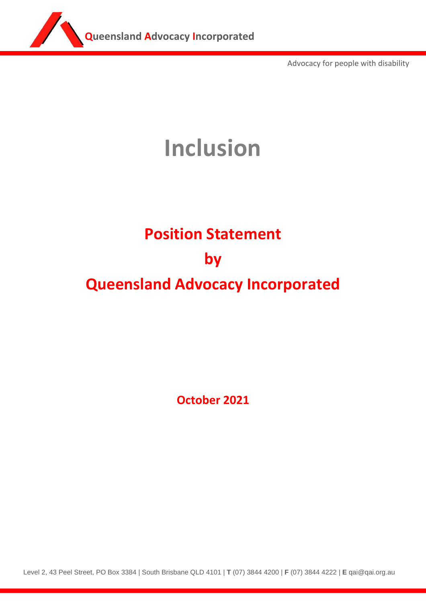

Advocacy for people with disability

## **Inclusion**

## **Position Statement**

## **by**

## **Queensland Advocacy Incorporated**

**October 2021**

Level 2, 43 Peel Street, PO Box 3384 | South Brisbane QLD 4101 | **T** (07) 3844 4200 | **F** (07) 3844 4222 | **E** qai@qai.org.au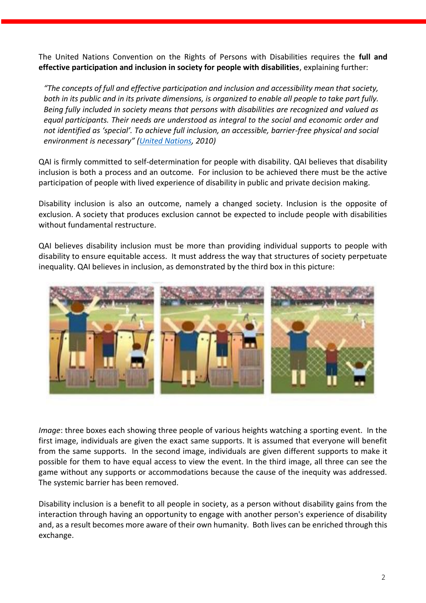The United Nations Convention on the Rights of Persons with Disabilities requires the **full and effective participation and inclusion in society for people with disabilities**, explaining further:

*"The concepts of full and effective participation and inclusion and accessibility mean that society, both in its public and in its private dimensions, is organized to enable all people to take part fully. Being fully included in society means that persons with disabilities are recognized and valued as equal participants. Their needs are understood as integral to the social and economic order and not identified as 'special'. To achieve full inclusion, an accessible, barrier-free physical and social environment is necessary" ([United Nations,](file:///C:/Users/SophieWiggans/Desktop/Monitoring%20the%20Convention%20on%20the%20Rights%20of%20Persons%20with%20disabilities%20guidance%20for%20human%20Rights%20monitors%20professional%20training%20series%20No.%2017) 2010)*

QAI is firmly committed to self-determination for people with disability. QAI believes that disability inclusion is both a process and an outcome. For inclusion to be achieved there must be the active participation of people with lived experience of disability in public and private decision making.

Disability inclusion is also an outcome, namely a changed society. Inclusion is the opposite of exclusion. A society that produces exclusion cannot be expected to include people with disabilities without fundamental restructure.

QAI believes disability inclusion must be more than providing individual supports to people with disability to ensure equitable access. It must address the way that structures of society perpetuate inequality. QAI believes in inclusion, as demonstrated by the third box in this picture:



*Image*: three boxes each showing three people of various heights watching a sporting event. In the first image, individuals are given the exact same supports. It is assumed that everyone will benefit from the same supports. In the second image, individuals are given different supports to make it possible for them to have equal access to view the event. In the third image, all three can see the game without any supports or accommodations because the cause of the inequity was addressed. The systemic barrier has been removed.

Disability inclusion is a benefit to all people in society, as a person without disability gains from the interaction through having an opportunity to engage with another person's experience of disability and, as a result becomes more aware of their own humanity. Both lives can be enriched through this exchange.